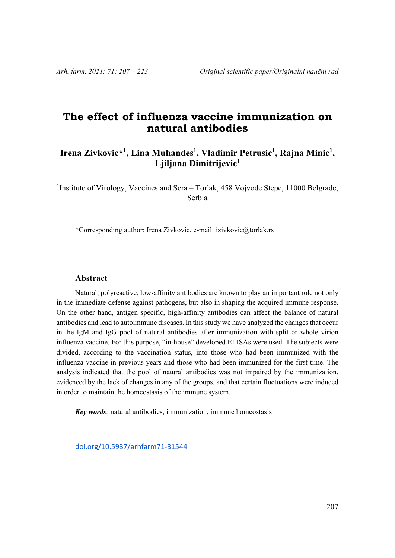# **The effect of influenza vaccine immunization on natural antibodies**

## Irena Zivkovic\*<sup>1</sup>, Lina Muhandes<sup>1</sup>, Vladimir Petrusic<sup>1</sup>, Rajna Minic<sup>1</sup>, **Ljiljana Dimitrijevic1**

<sup>1</sup>Institute of Virology, Vaccines and Sera - Torlak, 458 Vojvode Stepe, 11000 Belgrade, Serbia

\*Corresponding author: Irena Zivkovic, e-mail: izivkovic@torlak.rs

#### **Abstract**

Natural, polyreactive, low-affinity antibodies are known to play an important role not only in the immediate defense against pathogens, but also in shaping the acquired immune response. On the other hand, antigen specific, high-affinity antibodies can affect the balance of natural antibodies and lead to autoimmune diseases. In this study we have analyzed the changes that occur in the IgM and IgG pool of natural antibodies after immunization with split or whole virion influenza vaccine. For this purpose, "in-house" developed ELISAs were used. The subjects were divided, according to the vaccination status, into those who had been immunized with the influenza vaccine in previous years and those who had been immunized for the first time. The analysis indicated that the pool of natural antibodies was not impaired by the immunization, evidenced by the lack of changes in any of the groups, and that certain fluctuations were induced in order to maintain the homeostasis of the immune system.

*Key words:* natural antibodies, immunization, immune homeostasis

doi.org/10.5937/arhfarm71‐31544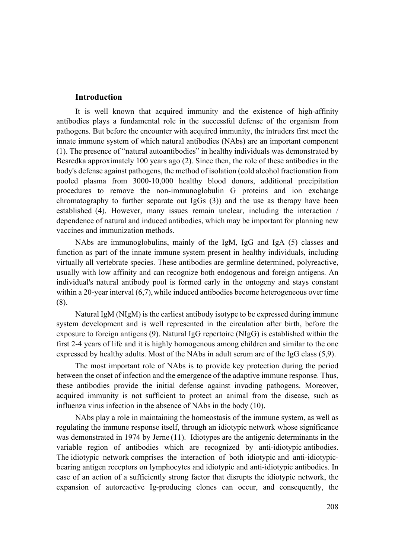#### **Introduction**

It is well known that acquired immunity and the existence of high-affinity antibodies plays a fundamental role in the successful defense of the organism from pathogens. But before the encounter with acquired immunity, the intruders first meet the innate immune system of which natural antibodies (NAbs) are an important component (1). The presence of "natural autoantibodies" in healthy individuals was demonstrated by Besredka approximately 100 years ago (2). Since then, the role of these antibodies in the body's defense against pathogens, the method of isolation (cold alcohol fractionation from pooled plasma from 3000-10,000 healthy blood donors, additional precipitation procedures to remove the non-immunoglobulin G proteins and ion exchange chromatography to further separate out  $IgGs (3)$  and the use as therapy have been established (4). However, many issues remain unclear, including the interaction / dependence of natural and induced antibodies, which may be important for planning new vaccines and immunization methods.

NAbs are immunoglobulins, mainly of the IgM, IgG and IgA (5) classes and function as part of the innate immune system present in healthy individuals, including virtually all vertebrate species. These antibodies are germline determined, polyreactive, usually with low affinity and can recognize both endogenous and foreign antigens. An individual's natural antibody pool is formed early in the ontogeny and stays constant within a 20-year interval (6,7), while induced antibodies become heterogeneous over time (8).

Natural IgM (NIgM) is the earliest antibody isotype to be expressed during immune system development and is well represented in the circulation after birth, before the exposure to foreign antigens (9). Natural IgG repertoire (NIgG) is established within the first 2-4 years of life and it is highly homogenous among children and similar to the one expressed by healthy adults. Most of the NAbs in adult serum are of the IgG class (5,9).

The most important role of NAbs is to provide key protection during the period between the onset of infection and the emergence of the adaptive immune response. Thus, these antibodies provide the initial defense against invading pathogens. Moreover, acquired immunity is not sufficient to protect an animal from the disease, such as influenza virus infection in the absence of NAbs in the body (10).

NAbs play a role in maintaining the homeostasis of the immune system, as well as regulating the immune response itself, through an idiotypic network whose significance was demonstrated in 1974 by Jerne (11). Idiotypes are the antigenic determinants in the variable region of antibodies which are recognized by anti-idiotypic antibodies. The idiotypic network comprises the interaction of both idiotypic and anti-idiotypicbearing antigen receptors on lymphocytes and idiotypic and anti-idiotypic antibodies. In case of an action of a sufficiently strong factor that disrupts the idiotypic network, the expansion of autoreactive Ig-producing clones can occur, and consequently, the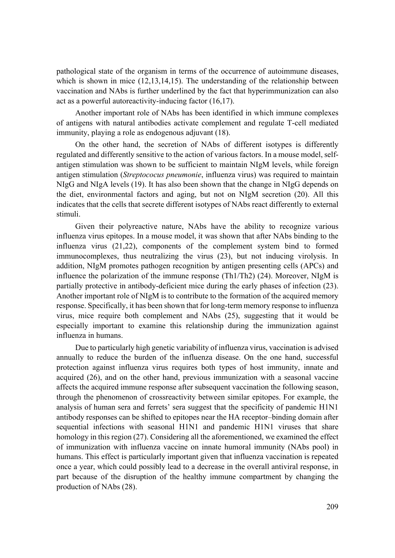pathological state of the organism in terms of the occurrence of autoimmune diseases, which is shown in mice (12,13,14,15). The understanding of the relationship between vaccination and NAbs is further underlined by the fact that hyperimmunization can also act as a powerful autoreactivity-inducing factor (16,17).

Another important role of NAbs has been identified in which immune complexes of antigens with natural antibodies activate complement and regulate T-cell mediated immunity, playing a role as endogenous adjuvant (18).

On the other hand, the secretion of NAbs of different isotypes is differently regulated and differently sensitive to the action of various factors. In a mouse model, selfantigen stimulation was shown to be sufficient to maintain NIgM levels, while foreign antigen stimulation (*Streptococus pneumonie*, influenza virus) was required to maintain NIgG and NIgA levels (19). It has also been shown that the change in NIgG depends on the diet, environmental factors and aging, but not on NIgM secretion (20). All this indicates that the cells that secrete different isotypes of NAbs react differently to external stimuli.

Given their polyreactive nature, NAbs have the ability to recognize various influenza virus epitopes. In a mouse model, it was shown that after NAbs binding to the influenza virus (21,22), components of the complement system bind to formed immunocomplexes, thus neutralizing the virus (23), but not inducing virolysis. In addition, NIgM promotes pathogen recognition by antigen presenting cells (APCs) and influence the polarization of the immune response (Th1/Th2) (24). Moreover, NIgM is partially protective in antibody-deficient mice during the early phases of infection (23). Another important role of NIgM is to contribute to the formation of the acquired memory response. Specifically, it has been shown that for long-term memory response to influenza virus, mice require both complement and NAbs (25), suggesting that it would be especially important to examine this relationship during the immunization against influenza in humans.

Due to particularly high genetic variability of influenza virus, vaccination is advised annually to reduce the burden of the influenza disease. On the one hand, successful protection against influenza virus requires both types of host immunity, innate and acquired (26), and on the other hand, previous immunization with a seasonal vaccine affects the acquired immune response after subsequent vaccination the following season, through the phenomenon of crossreactivity between similar epitopes. For example, the analysis of human sera and ferrets' sera suggest that the specificity of pandemic H1N1 antibody responses can be shifted to epitopes near the HA receptor–binding domain after sequential infections with seasonal H1N1 and pandemic H1N1 viruses that share homology in this region (27). Considering all the aforementioned, we examined the effect of immunization with influenza vaccine on innate humoral immunity (NAbs pool) in humans. This effect is particularly important given that influenza vaccination is repeated once a year, which could possibly lead to a decrease in the overall antiviral response, in part because of the disruption of the healthy immune compartment by changing the production of NAbs (28).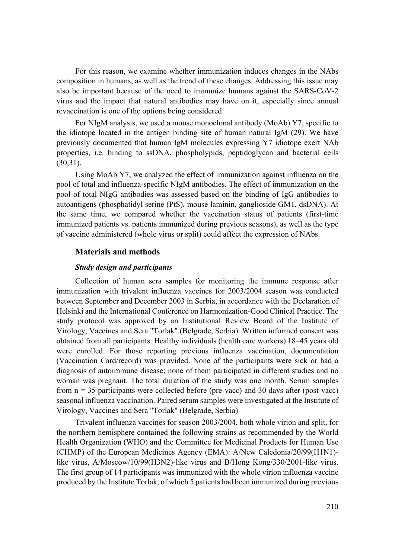For this reason, we examine whether immunization induces changes in the NAbs composition in humans, as well as the trend of these changes. Addressing this issue may also be important because of the need to immunize humans against the SARS-CoV-2 virus and the impact that natural antibodies may have on it, especially since annual revaccination is one of the options being considered.

For NIgM analysis, we used a mouse monoclonal antibody (MoAb) Y7, specific to the idiotope located in the antigen binding site of human natural IgM (29). We have previously documented that human IgM molecules expressing Y7 idiotope exert NAb properties, i.e. binding to ssDNA, phospholypids, peptidoglycan and bacterial cells (30,31).

Using MoAb Y7, we analyzed the effect of immunization against influenza on the pool of total and influenza-specific NIgM antibodies. The effect of immunization on the pool of total NIgG antibodies was assessed based on the binding of IgG antibodies to autoantigens (phosphatidyl serine (PtS), mouse laminin, ganglioside GM1, dsDNA). At the same time, we compared whether the vaccination status of patients (first-time immunized patients vs. patients immunized during previous seasons), as well as the type of vaccine administered (whole virus or split) could affect the expression of NAbs.

#### **Materials and methods**

#### *Study design and participants*

Collection of human sera samples for monitoring the immune response after immunization with trivalent influenza vaccines for 2003/2004 season was conducted between September and December 2003 in Serbia, in accordance with the Declaration of Helsinki and the International Conference on Harmonization-Good Clinical Practice. The study protocol was approved by an Institutional Review Board of the Institute of Virology, Vaccines and Sera "Torlak" (Belgrade, Serbia). Written informed consent was obtained from all participants. Healthy individuals (health care workers) 18–45 years old were enrolled. For those reporting previous influenza vaccination, documentation (Vaccination Card/record) was provided. None of the participants were sick or had a diagnosis of autoimmune disease; none of them participated in different studies and no woman was pregnant. The total duration of the study was one month. Serum samples from  $n = 35$  participants were collected before (pre-vacc) and 30 days after (post-vacc) seasonal influenza vaccination. Paired serum samples were investigated at the Institute of Virology, Vaccines and Sera "Torlak" (Belgrade, Serbia).

Trivalent influenza vaccines for season 2003/2004, both whole virion and split, for the northern hemisphere contained the following strains as recommended by the World Health Organization (WHO) and the Committee for Medicinal Products for Human Use (CHMP) of the European Medicines Agency (EMA): A/New Caledonia/20/99(H1N1) like virus, A/Moscow/10/99(H3N2)-like virus and B/Hong Kong/330/2001-like virus. The first group of 14 participants was immunized with the whole virion influenza vaccine produced by the Institute Torlak, of which 5 patients had been immunized during previous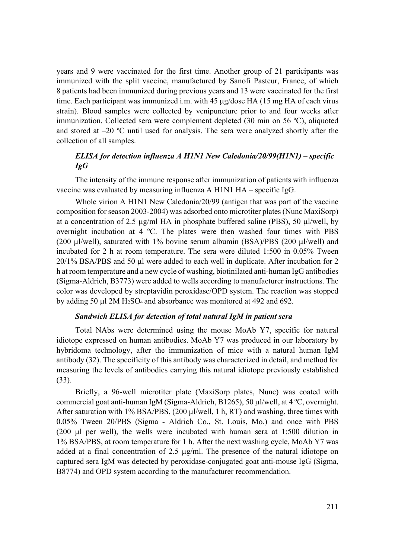years and 9 were vaccinated for the first time. Another group of 21 participants was immunized with the split vaccine, manufactured by Sanofi Pasteur, France, of which 8 patients had been immunized during previous years and 13 were vaccinated for the first time. Each participant was immunized i.m. with 45  $\mu$ g/dose HA (15 mg HA of each virus strain). Blood samples were collected by venipuncture prior to and four weeks after immunization. Collected sera were complement depleted (30 min on 56 ºC), aliquoted and stored at  $-20$  °C until used for analysis. The sera were analyzed shortly after the collection of all samples.

## *ELISA for detection influenza A H1N1 New Caledonia/20/99(H1N1) – specific IgG*

The intensity of the immune response after immunization of patients with influenza vaccine was evaluated by measuring influenza A H1N1 HA – specific IgG.

Whole virion A H1N1 New Caledonia/20/99 (antigen that was part of the vaccine composition for season 2003-2004) was adsorbed onto microtiter plates (Nunc MaxiSorp) at a concentration of 2.5  $\mu$ g/ml HA in phosphate buffered saline (PBS), 50  $\mu$ l/well, by overnight incubation at 4 ºC. The plates were then washed four times with PBS (200  $\mu$ l/well), saturated with 1% bovine serum albumin (BSA)/PBS (200  $\mu$ l/well) and incubated for 2 h at room temperature. The sera were diluted 1:500 in 0.05% Tween 20/1% BSA/PBS and 50 µl were added to each well in duplicate. After incubation for 2 h at room temperature and a new cycle of washing, biotinilated anti-human IgG antibodies (Sigma-Aldrich, B3773) were added to wells according to manufacturer instructions. The color was developed by streptavidin peroxidase/OPD system. The reaction was stopped by adding 50  $\mu$ 1 2M H<sub>2</sub>SO<sub>4</sub> and absorbance was monitored at 492 and 692.

#### *Sandwich ELISA for detection of total natural IgM in patient sera*

Total NAbs were determined using the mouse MoAb Y7, specific for natural idiotope expressed on human antibodies. MoAb Y7 was produced in our laboratory by hybridoma technology, after the immunization of mice with a natural human IgM antibody (32). The specificity of this antibody was characterized in detail, and method for measuring the levels of antibodies carrying this natural idiotope previously established (33).

Briefly, a 96-well microtiter plate (MaxiSorp plates, Nunc) was coated with commercial goat anti-human IgM (Sigma-Aldrich, B1265), 50  $\mu$ l/well, at 4 °C, overnight. After saturation with  $1\%$  BSA/PBS,  $(200 \mu l/well, 1 h, RT)$  and washing, three times with 0.05% Tween 20/PBS (Sigma - Aldrich Co., St. Louis, Mo.) and once with PBS (200  $\mu$ l per well), the wells were incubated with human sera at 1:500 dilution in 1% BSA/PBS, at room temperature for 1 h. After the next washing cycle, MoAb Y7 was added at a final concentration of 2.5  $\mu$ g/ml. The presence of the natural idiotope on captured sera IgM was detected by peroxidase-conjugated goat anti-mouse IgG (Sigma, B8774) and OPD system according to the manufacturer recommendation.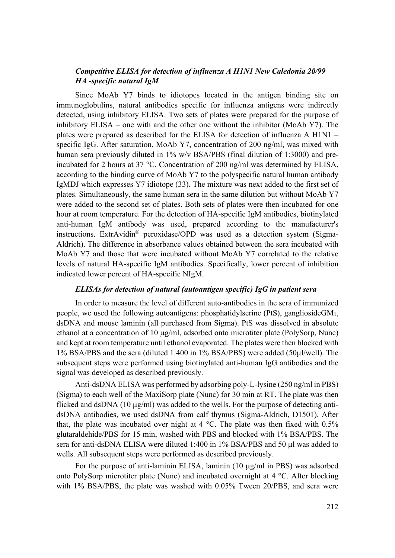## *Competitive ELISA for detection of influenza A H1N1 New Caledonia 20/99 HA -specific natural IgM*

Since MoAb Y7 binds to idiotopes located in the antigen binding site on immunoglobulins, natural antibodies specific for influenza antigens were indirectly detected, using inhibitory ELISA. Two sets of plates were prepared for the purpose of inhibitory ELISA – one with and the other one without the inhibitor (MoAb Y7). The plates were prepared as described for the ELISA for detection of influenza A H1N1 – specific IgG. After saturation, MoAb Y7, concentration of 200 ng/ml, was mixed with human sera previously diluted in 1% w/v BSA/PBS (final dilution of 1:3000) and preincubated for 2 hours at 37 °C. Concentration of 200 ng/ml was determined by ELISA, according to the binding curve of MoAb Y7 to the polyspecific natural human antibody IgMDJ which expresses Y7 idiotope (33). The mixture was next added to the first set of plates. Simultaneously, the same human sera in the same dilution but without MoAb Y7 were added to the second set of plates. Both sets of plates were then incubated for one hour at room temperature. For the detection of HA-specific IgM antibodies, biotinylated anti-human IgM antibody was used, prepared according to the manufacturer's instructions. ExtrAvidin® peroxidase/OPD was used as a detection system (Sigma-Aldrich). The difference in absorbance values obtained between the sera incubated with MoAb Y7 and those that were incubated without MoAb Y7 correlated to the relative levels of natural HA-specific IgM antibodies. Specifically, lower percent of inhibition indicated lower percent of HA-specific NIgM.

#### *ELISAs for detection of natural (autoantigen specific) IgG in patient sera*

In order to measure the level of different auto-antibodies in the sera of immunized people, we used the following autoantigens: phosphatidylserine (PtS), gangliosideGM1, dsDNA and mouse laminin (all purchased from Sigma). PtS was dissolved in absolute ethanol at a concentration of 10  $\mu$ g/ml, adsorbed onto microtiter plate (PolySorp, Nunc) and kept at room temperature until ethanol evaporated. The plates were then blocked with 1% BSA/PBS and the sera (diluted 1:400 in 1% BSA/PBS) were added (50 ul/well). The subsequent steps were performed using biotinylated anti-human IgG antibodies and the signal was developed as described previously.

Anti-dsDNA ELISA was performed by adsorbing poly-L-lysine (250 ng/ml in PBS) (Sigma) to each well of the MaxiSorp plate (Nunc) for 30 min at RT. The plate was then flicked and dsDNA (10  $\mu$ g/ml) was added to the wells. For the purpose of detecting antidsDNA antibodies, we used dsDNA from calf thymus (Sigma-Aldrich, D1501). After that, the plate was incubated over night at 4  $^{\circ}$ C. The plate was then fixed with 0.5% glutaraldehide/PBS for 15 min, washed with PBS and blocked with 1% BSA/PBS. The sera for anti-dsDNA ELISA were diluted 1:400 in  $1\%$  BSA/PBS and 50  $\mu$ l was added to wells. All subsequent steps were performed as described previously.

For the purpose of anti-laminin ELISA, laminin  $(10 \mu g/ml)$  in PBS) was adsorbed onto PolySorp microtiter plate (Nunc) and incubated overnight at 4 °C. After blocking with 1% BSA/PBS, the plate was washed with 0.05% Tween 20/PBS, and sera were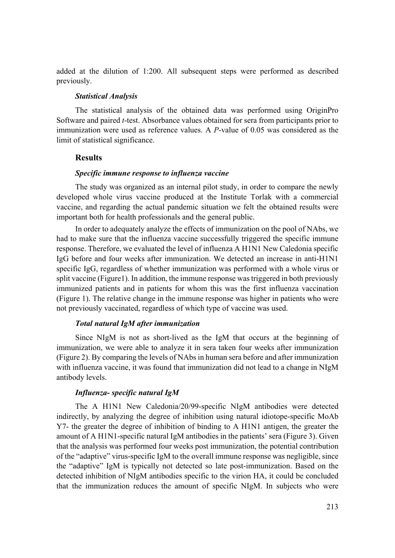added at the dilution of 1:200. All subsequent steps were performed as described previously.

#### *Statistical Analysis*

The statistical analysis of the obtained data was performed using OriginPro Software and paired *t*-test. Absorbance values obtained for sera from participants prior to immunization were used as reference values. A *P*-value of 0.05 was considered as the limit of statistical significance.

## **Results**

#### *Specific immune response to influenza vaccine*

The study was organized as an internal pilot study, in order to compare the newly developed whole virus vaccine produced at the Institute Torlak with a commercial vaccine, and regarding the actual pandemic situation we felt the obtained results were important both for health professionals and the general public.

In order to adequately analyze the effects of immunization on the pool of NAbs, we had to make sure that the influenza vaccine successfully triggered the specific immune response. Therefore, we evaluated the level of influenza A H1N1 New Caledonia specific IgG before and four weeks after immunization. We detected an increase in anti-H1N1 specific IgG, regardless of whether immunization was performed with a whole virus or split vaccine (Figure1). In addition, the immune response was triggered in both previously immunized patients and in patients for whom this was the first influenza vaccination (Figure 1). The relative change in the immune response was higher in patients who were not previously vaccinated, regardless of which type of vaccine was used.

#### *Total natural IgM after immunization*

Since NIgM is not as short-lived as the IgM that occurs at the beginning of immunization, we were able to analyze it in sera taken four weeks after immunization (Figure 2). By comparing the levels of NAbs in human sera before and after immunization with influenza vaccine, it was found that immunization did not lead to a change in NIgM antibody levels.

#### *Influenza- specific natural IgM*

The A H1N1 New Caledonia/20/99-specific NIgM antibodies were detected indirectly, by analyzing the degree of inhibition using natural idiotope-specific MoAb Y7- the greater the degree of inhibition of binding to A H1N1 antigen, the greater the amount of A H1N1-specific natural IgM antibodies in the patients' sera (Figure 3). Given that the analysis was performed four weeks post immunization, the potential contribution of the "adaptive" virus-specific IgM to the overall immune response was negligible, since the "adaptive" IgM is typically not detected so late post-immunization. Based on the detected inhibition of NIgM antibodies specific to the virion HA, it could be concluded that the immunization reduces the amount of specific NIgM. In subjects who were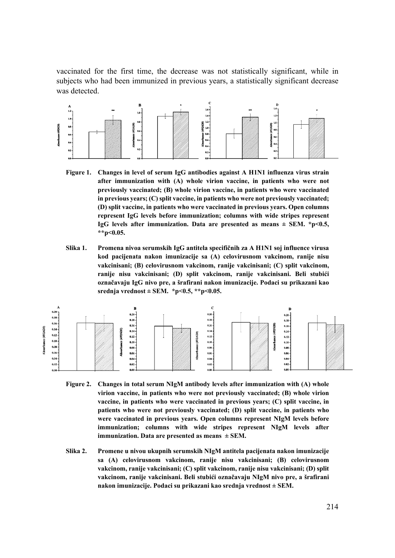vaccinated for the first time, the decrease was not statistically significant, while in subjects who had been immunized in previous years, a statistically significant decrease was detected.



- **Figure 1. Changes in level of serum IgG antibodies against A H1N1 influenza virus strain after immunization with (A) whole virion vaccine, in patients who were not previously vaccinated; (B) whole virion vaccine, in patients who were vaccinated in previous years; (C) split vaccine, in patients who were not previously vaccinated; (D) split vaccine, in patients who were vaccinated in previous years. Open columns represent IgG levels before immunization; columns with wide stripes represent IgG levels after immunization. Data are presented as means ± SEM. \*p<0.5, \*\*p<0.05.**
- **Slika 1. Promena nivoa serumskih IgG antitela specifičnih za A H1N1 soj influence virusa kod pacijenata nakon imunizacije sa (A) celovirusnom vakcinom, ranije nisu vakcinisani; (B) celovirusnom vakcinom, ranije vakcinisani; (C) split vakcinom, ranije nisu vakcinisani; (D) split vakcinom, ranije vakcinisani. Beli stubići označavaju IgG nivo pre, a šrafirani nakon imunizacije. Podaci su prikazani kao**  srednja vrednost ± SEM.  $*_{p}$ <0.5,  $*_{p}$ <0.05.



- **Figure 2. Changes in total serum NIgM antibody levels after immunization with (A) whole virion vaccine, in patients who were not previously vaccinated; (B) whole virion vaccine, in patients who were vaccinated in previous years; (C) split vaccine, in patients who were not previously vaccinated; (D) split vaccine, in patients who were vaccinated in previous years. Open columns represent NIgM levels before immunization; columns with wide stripes represent NIgM levels after immunization. Data are presented as means ± SEM.**
- **Slika 2. Promene u nivou ukupnih serumskih NIgM antitela pacijenata nakon imunizacije sa (A) celovirusnom vakcinom, ranije nisu vakcinisani; (B) celovirusnom vakcinom, ranije vakcinisani; (C) split vakcinom, ranije nisu vakcinisani; (D) split vakcinom, ranije vakcinisani. Beli stubići označavaju NIgM nivo pre, a šrafirani nakon imunizacije. Podaci su prikazani kao srednja vrednost ± SEM.**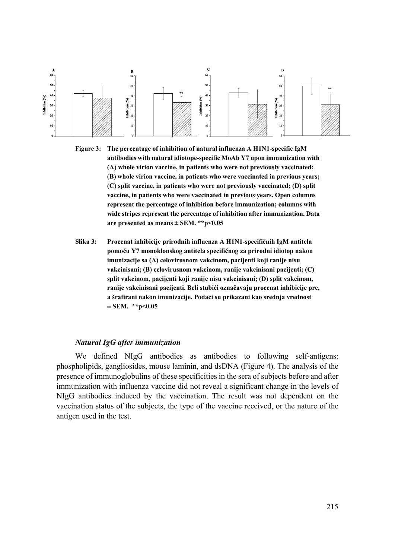

**Figure 3: The percentage of inhibition of natural influenza A H1N1-specific IgM antibodies with natural idiotope-specific MoAb Y7 upon immunization with (A) whole virion vaccine, in patients who were not previously vaccinated; (B) whole virion vaccine, in patients who were vaccinated in previous years; (C) split vaccine, in patients who were not previously vaccinated; (D) split vaccine, in patients who were vaccinated in previous years. Open columns represent the percentage of inhibition before immunization; columns with wide stripes represent the percentage of inhibition after immunization. Data are presented as means ± SEM. \*\*p<0.05** 

**Slika 3: Procenat inhibicije prirodnih influenza A H1N1-specifičnih IgM antitela pomoću Y7 monoklonskog antitela specifičnog za prirodni idiotop nakon imunizacije sa (A) celovirusnom vakcinom, pacijenti koji ranije nisu vakcinisani; (B) celovirusnom vakcinom, ranije vakcinisani pacijenti; (C) split vakcinom, pacijenti koji ranije nisu vakcinisani; (D) split vakcinom, ranije vakcinisani pacijenti. Beli stubići označavaju procenat inhibicije pre, a šrafirani nakon imunizacije. Podaci su prikazani kao srednja vrednost ± SEM. \*\*p<0.05** 

#### *Natural IgG after immunization*

We defined NIgG antibodies as antibodies to following self-antigens: phospholipids, gangliosides, mouse laminin, and dsDNA (Figure 4). The analysis of the presence of immunoglobulins of these specificities in the sera of subjects before and after immunization with influenza vaccine did not reveal a significant change in the levels of NIgG antibodies induced by the vaccination. The result was not dependent on the vaccination status of the subjects, the type of the vaccine received, or the nature of the antigen used in the test.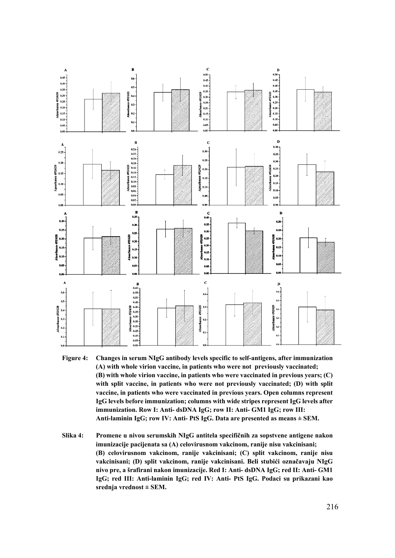

- **Figure 4: Changes in serum NIgG antibody levels specific to self-antigens, after immunization (A) with whole virion vaccine, in patients who were not previously vaccinated; (B) with whole virion vaccine, in patients who were vaccinated in previous years; (C) with split vaccine, in patients who were not previously vaccinated; (D) with split vaccine, in patients who were vaccinated in previous years. Open columns represent IgG levels before immunization; columns with wide stripes represent IgG levels after immunization. Row I: Anti- dsDNA IgG; row II: Anti- GM1 IgG; row III: Anti-laminin IgG; row IV: Anti- PtS IgG. Data are presented as means ± SEM.**
- **Slika 4: Promene u nivou serumskih NIgG antitela specifičnih za sopstvene antigene nakon imunizacije pacijenata sa (A) celovirusnom vakcinom, ranije nisu vakcinisani; (B) celovirusnom vakcinom, ranije vakcinisani; (C) split vakcinom, ranije nisu vakcinisani; (D) split vakcinom, ranije vakcinisani. Beli stubići označavaju NIgG nivo pre, a šrafirani nakon imunizacije. Red I: Anti- dsDNA IgG; red II: Anti- GM1 IgG; red III: Anti-laminin IgG; red IV: Anti- PtS IgG. Podaci su prikazani kao srednja vrednost ± SEM.**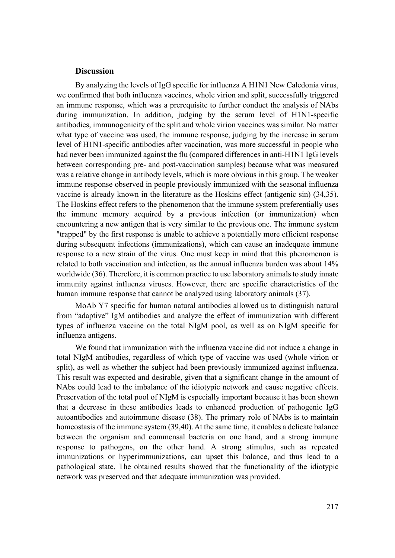#### **Discussion**

By analyzing the levels of IgG specific for influenza A H1N1 New Caledonia virus, we confirmed that both influenza vaccines, whole virion and split, successfully triggered an immune response, which was a prerequisite to further conduct the analysis of NAbs during immunization. In addition, judging by the serum level of H1N1-specific antibodies, immunogenicity of the split and whole virion vaccines was similar. No matter what type of vaccine was used, the immune response, judging by the increase in serum level of H1N1-specific antibodies after vaccination, was more successful in people who had never been immunized against the flu (compared differences in anti-H1N1 IgG levels between corresponding pre- and post-vaccination samples) because what was measured was a relative change in antibody levels, which is more obvious in this group. The weaker immune response observed in people previously immunized with the seasonal influenza vaccine is already known in the literature as the Hoskins effect (antigenic sin) (34,35). The Hoskins effect refers to the phenomenon that the immune system preferentially uses the immune memory acquired by a previous infection (or immunization) when encountering a new antigen that is very similar to the previous one. The immune system "trapped" by the first response is unable to achieve a potentially more efficient response during subsequent infections (immunizations), which can cause an inadequate immune response to a new strain of the virus. One must keep in mind that this phenomenon is related to both vaccination and infection, as the annual influenza burden was about 14% worldwide (36). Therefore, it is common practice to use laboratory animals to study innate immunity against influenza viruses. However, there are specific characteristics of the human immune response that cannot be analyzed using laboratory animals (37).

MoAb Y7 specific for human natural antibodies allowed us to distinguish natural from "adaptive" IgM antibodies and analyze the effect of immunization with different types of influenza vaccine on the total NIgM pool, as well as on NIgM specific for influenza antigens.

We found that immunization with the influenza vaccine did not induce a change in total NIgM antibodies, regardless of which type of vaccine was used (whole virion or split), as well as whether the subject had been previously immunized against influenza. This result was expected and desirable, given that a significant change in the amount of NAbs could lead to the imbalance of the idiotypic network and cause negative effects. Preservation of the total pool of NIgM is especially important because it has been shown that a decrease in these antibodies leads to enhanced production of pathogenic IgG autoantibodies and autoimmune disease (38). The primary role of NAbs is to maintain homeostasis of the immune system (39,40). At the same time, it enables a delicate balance between the organism and commensal bacteria on one hand, and a strong immune response to pathogens, on the other hand. A strong stimulus, such as repeated immunizations or hyperimmunizations, can upset this balance, and thus lead to a pathological state. The obtained results showed that the functionality of the idiotypic network was preserved and that adequate immunization was provided.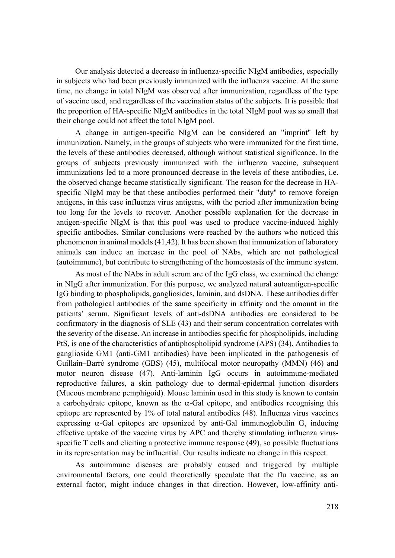Our analysis detected a decrease in influenza-specific NIgM antibodies, especially in subjects who had been previously immunized with the influenza vaccine. At the same time, no change in total NIgM was observed after immunization, regardless of the type of vaccine used, and regardless of the vaccination status of the subjects. It is possible that the proportion of HA-specific NIgM antibodies in the total NIgM pool was so small that their change could not affect the total NIgM pool.

A change in antigen-specific NIgM can be considered an "imprint" left by immunization. Namely, in the groups of subjects who were immunized for the first time, the levels of these antibodies decreased, although without statistical significance. In the groups of subjects previously immunized with the influenza vaccine, subsequent immunizations led to a more pronounced decrease in the levels of these antibodies, i.e. the observed change became statistically significant. The reason for the decrease in HAspecific NIgM may be that these antibodies performed their "duty" to remove foreign antigens, in this case influenza virus antigens, with the period after immunization being too long for the levels to recover. Another possible explanation for the decrease in antigen-specific NIgM is that this pool was used to produce vaccine-induced highly specific antibodies. Similar conclusions were reached by the authors who noticed this phenomenon in animal models (41,42). It has been shown that immunization of laboratory animals can induce an increase in the pool of NAbs, which are not pathological (autoimmune), but contribute to strengthening of the homeostasis of the immune system.

As most of the NAbs in adult serum are of the IgG class, we examined the change in NIgG after immunization. For this purpose, we analyzed natural autoantigen-specific IgG binding to phospholipids, gangliosides, laminin, and dsDNA. These antibodies differ from pathological antibodies of the same specificity in affinity and the amount in the patients' serum. Significant levels of anti-dsDNA antibodies are considered to be confirmatory in the diagnosis of SLE (43) and their serum concentration correlates with the severity of the disease. An increase in antibodies specific for phospholipids, including PtS, is one of the characteristics of antiphospholipid syndrome (APS) (34). Antibodies to ganglioside GM1 (anti-GM1 antibodies) have been implicated in the pathogenesis of Guillain–Barré syndrome (GBS) (45), multifocal motor neuropathy (MMN) (46) and motor neuron disease (47). Anti-laminin IgG occurs in autoimmune-mediated reproductive failures, a skin pathology due to dermal-epidermal junction disorders (Mucous membrane pemphigoid). Mouse laminin used in this study is known to contain a carbohydrate epitope, known as the  $\alpha$ -Gal epitope, and antibodies recognising this epitope are represented by 1% of total natural antibodies (48). Influenza virus vaccines expressing  $\alpha$ -Gal epitopes are opsonized by anti-Gal immunoglobulin G, inducing effective uptake of the vaccine virus by APC and thereby stimulating influenza virusspecific T cells and eliciting a protective immune response (49), so possible fluctuations in its representation may be influential. Our results indicate no change in this respect.

As autoimmune diseases are probably caused and triggered by multiple environmental factors, one could theoretically speculate that the flu vaccine, as an external factor, might induce changes in that direction. However, low-affinity anti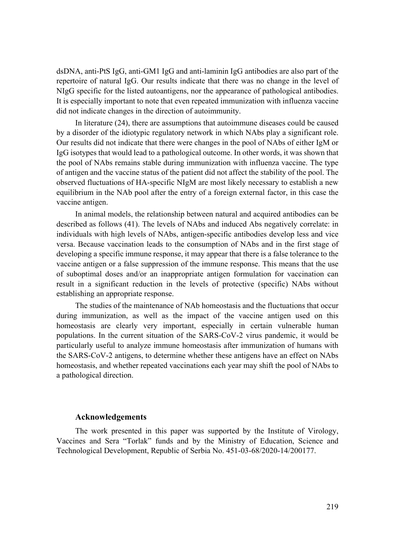dsDNA, anti-PtS IgG, anti-GM1 IgG and anti-laminin IgG antibodies are also part of the repertoire of natural IgG. Our results indicate that there was no change in the level of NIgG specific for the listed autoantigens, nor the appearance of pathological antibodies. It is especially important to note that even repeated immunization with influenza vaccine did not indicate changes in the direction of autoimmunity.

In literature (24), there are assumptions that autoimmune diseases could be caused by a disorder of the idiotypic regulatory network in which NAbs play a significant role. Our results did not indicate that there were changes in the pool of NAbs of either IgM or IgG isotypes that would lead to a pathological outcome. In other words, it was shown that the pool of NAbs remains stable during immunization with influenza vaccine. The type of antigen and the vaccine status of the patient did not affect the stability of the pool. The observed fluctuations of HA-specific NIgM are most likely necessary to establish a new equilibrium in the NAb pool after the entry of a foreign external factor, in this case the vaccine antigen.

In animal models, the relationship between natural and acquired antibodies can be described as follows (41). The levels of NAbs and induced Abs negatively correlate: in individuals with high levels of NAbs, antigen-specific antibodies develop less and vice versa. Because vaccination leads to the consumption of NAbs and in the first stage of developing a specific immune response, it may appear that there is a false tolerance to the vaccine antigen or a false suppression of the immune response. This means that the use of suboptimal doses and/or an inappropriate antigen formulation for vaccination can result in a significant reduction in the levels of protective (specific) NAbs without establishing an appropriate response.

The studies of the maintenance of NAb homeostasis and the fluctuations that occur during immunization, as well as the impact of the vaccine antigen used on this homeostasis are clearly very important, especially in certain vulnerable human populations. In the current situation of the SARS-CoV-2 virus pandemic, it would be particularly useful to analyze immune homeostasis after immunization of humans with the SARS-CoV-2 antigens, to determine whether these antigens have an effect on NAbs homeostasis, and whether repeated vaccinations each year may shift the pool of NAbs to a pathological direction.

### **Acknowledgements**

The work presented in this paper was supported by the Institute of Virology, Vaccines and Sera "Torlak" funds and by the Ministry of Education, Science and Technological Development, Republic of Serbia No. 451-03-68/2020-14/200177.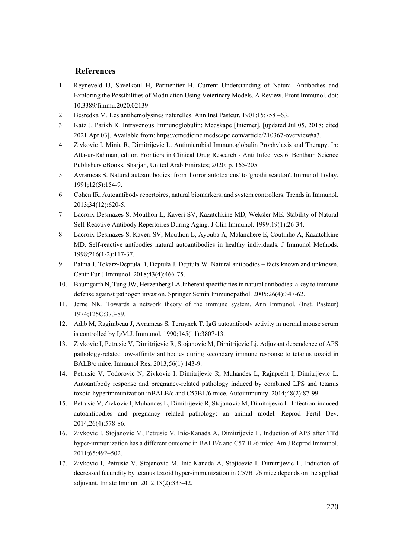### **References**

- 1. Reyneveld IJ, Savelkoul H, Parmentier H. Current Understanding of Natural Antibodies and Exploring the Possibilities of Modulation Using Veterinary Models. A Review. Front Immunol. doi: 10.3389/fimmu.2020.02139.
- 2. Besredka M. Les antihemolysines naturelles. Ann Inst Pasteur. 1901;15:758 –63.
- 3. Katz J, Parikh K. Intravenous Immunoglobulin: Medskape [Internet]. [updated Jul 05, 2018; cited 2021 Apr 03]. Available from: https://emedicine.medscape.com/article/210367-overview#a3.
- 4. Zivkovic I, Minic R, Dimitrijevic L. Antimicrobial Immunoglobulin Prophylaxis and Therapy. In: Atta-ur-Rahman, editor. Frontiers in Clinical Drug Research - Anti Infectives 6. Bentham Science Publishers eBooks, Sharjah, United Arab Emirates; 2020; p. 165-205.
- 5. Avrameas S. Natural autoantibodies: from 'horror autotoxicus' to 'gnothi seauton'. Immunol Today. 1991;12(5):154-9.
- 6. Cohen IR. Autoantibody repertoires, natural biomarkers, and system controllers. Trends in Immunol. 2013;34(12):620-5.
- 7. Lacroix-Desmazes S, Mouthon L, Kaveri SV, Kazatchkine MD, Weksler ME. Stability of Natural Self-Reactive Antibody Repertoires During Aging. J Clin Immunol. 1999;19(1):26-34.
- 8. Lacroix-Desmazes S, Kaveri SV, Mouthon L, Ayouba A, Malanchere E, Coutinho A, Kazatchkine MD. Self-reactive antibodies natural autoantibodies in healthy individuals. J Immunol Methods. 1998;216(1-2):117-37.
- 9. Palma J, Tokarz-Deptuła B, Deptuła J, Deptuła W. Natural antibodies facts known and unknown. Centr Eur J Immunol. 2018;43(4):466-75.
- 10. Baumgarth N, Tung JW, Herzenberg LA.Inherent specificities in natural antibodies: a key to immune defense against pathogen invasion. Springer Semin Immunopathol. 2005;26(4):347-62.
- 11. Jerne NK. Towards a network theory of the immune system. Ann Immunol. (Inst. Pasteur) 1974;125C:373-89.
- 12. Adib M, Ragimbeau J, Avrameas S, Ternynck T. IgG autoantibody activity in normal mouse serum is controlled by IgM.J. Immunol. 1990;145(11):3807-13.
- 13. Zivkovic I, Petrusic V, Dimitrijevic R, Stojanovic M, Dimitrijevic Lj. Adjuvant dependence of APS pathology-related low-affinity antibodies during secondary immune response to tetanus toxoid in BALB/c mice. Immunol Res. 2013;56(1):143-9.
- 14. Petrusic V, Todorovic N, Zivkovic I, Dimitrijevic R, Muhandes L, Rajnpreht I, Dimitrijevic L. Autoantibody response and pregnancy-related pathology induced by combined LPS and tetanus toxoid hyperimmunization inBALB/c and C57BL/6 mice. Autoimmunity. 2014;48(2):87-99.
- 15. Petrusic V, Zivkovic I, Muhandes L, Dimitrijevic R, Stojanovic M, Dimitrijevic L. Infection-induced autoantibodies and pregnancy related pathology: an animal model. Reprod Fertil Dev. 2014;26(4):578-86.
- 16. Zivkovic I, Stojanovic M, Petrusic V, Inic‐Kanada A, Dimitrijevic L. Induction of APS after TTd hyper-immunization has a different outcome in BALB/c and C57BL/6 mice. Am J Reprod Immunol. 2011;65:492–502.
- 17. Zivkovic I, Petrusic V, Stojanovic M, Inic-Kanada A, Stojicevic I, Dimitrijevic L. Induction of decreased fecundity by tetanus toxoid hyper-immunization in C57BL/6 mice depends on the applied adjuvant. Innate Immun. 2012;18(2):333-42.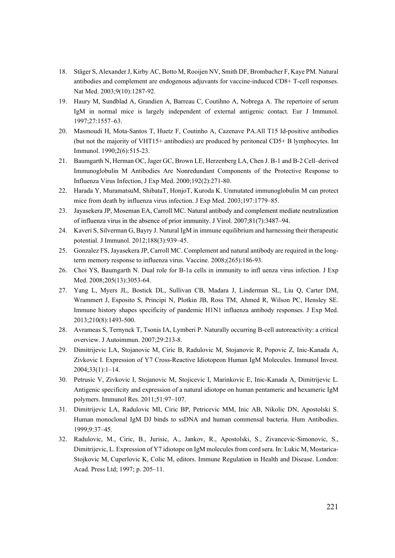- 18. Stäger S, Alexander J, Kirby AC, Botto M, Rooijen NV, Smith DF, Brombacher F, Kaye PM. Natural antibodies and complement are endogenous adjuvants for vaccine-induced CD8+ T-cell responses. Nat Med. 2003;9(10):1287-92.
- 19. Haury M, Sundblad A, Grandien A, Barreau C, Coutihno A, Nobrega A. The repertoire of serum IgM in normal mice is largely independent of external antigenic contact. Eur J Immunol. 1997;27:1557–63.
- 20. Masmoudi H, Mota-Santos T, Huetz F, Coutinho A, Cazenave PA.All T15 Id-positive antibodies (but not the majority of VHT15+ antibodies) are produced by peritoneal CD5+ B lymphocytes. Int Immunol. 1990;2(6):515-23.
- 21. Baumgarth N, Herman OC, Jager GC, Brown LE, Herzenberg LA, Chen J. B-1 and B-2 Cell–derived Immunoglobulin M Antibodies Are Nonredundant Components of the Protective Response to Influenza Virus Infection, J Exp Med. 2000;192(2):271-80.
- 22. Harada Y, MuramatsuM, ShibataT, HonjoT, Kuroda K. Unmutated immunoglobulin M can protect mice from death by influenza virus infection. J Exp Med. 2003;197:1779–85.
- 23. Jayasekera JP, Moseman EA, Carroll MC. Natural antibody and complement mediate neutralization of influenza virus in the absence of prior immunity. J Virol. 2007;81(7):3487–94.
- 24. Kaveri S, Silverman G, Bayry J. Natural IgM in immune equilibrium and harnessing their therapeutic potential. J Immunol. 2012;188(3):939–45.
- 25. Gonzalez FS, Jayasekera JP, Carroll MC. Complement and natural antibody are required in the longterm memory response to influenza virus. Vaccine. 2008;(265):186-93.
- 26. Choi YS, Baumgarth N. Dual role for B-1a cells in immunity to infl uenza virus infection. J Exp Med. 2008:205(13):3053-64.
- 27. Yang L, Myers JL, Bostick DL, Sullivan CB, Madara J, Linderman SL, Liu Q, Carter DM, Wrammert J, Esposito S, Principi N, Plotkin JB, Ross TM, Ahmed R, Wilson PC, Hensley SE. Immune history shapes specificity of pandemic H1N1 influenza antibody responses. J Exp Med. 2013;210(8):1493-500.
- 28. Avrameas S, Ternynck T, Tsonis IA, Lymberi P. Naturally occurring B-cell autoreactivity: a critical overview. J Autoimmun. 2007;29:213-8.
- 29. Dimitrijevic LA, Stojanovic M, Ciric B, Radulovic M, Stojanovic R, Popovic Z, Inic-Kanada A, Zivkovic I. Expression of Y7 Cross-Reactive Idiotopeon Human IgM Molecules. Immunol Invest. 2004;33(1):1–14.
- 30. Petrusic V, Zivkovic I, Stojanovic M, Stojicevic I, Marinkovic E, Inic-Kanada A, Dimitrijevic L. Antigenic specificity and expression of a natural idiotope on human pentameric and hexameric IgM polymers. Immunol Res. 2011;51:97–107.
- 31. Dimitrijevic LA, Radulovic MI, Ciric BP, Petricevic MM, Inic AB, Nikolic DN, Apostolski S. Human monoclonal IgM DJ binds to ssDNA and human commensal bacteria. Hum Antibodies. 1999;9:37–45.
- 32. Radulovic, M., Ciric, B., Jurisic, A., Jankov, R., Apostolski, S., Zivancevic-Simonovic, S., Dimitrijevic, L. Expression of Y7 idiotope on IgM molecules from cord sera. In: Lukic M, Mostarica-Stojkovic M, Cuperlovic K, Colic M, editors. Immune Regulation in Health and Disease. London: Acad. Press Ltd; 1997; p. 205–11.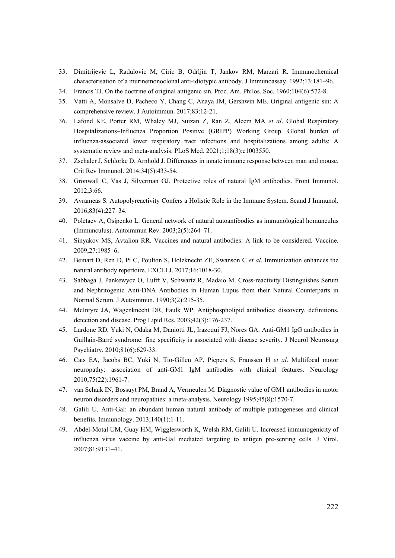- 33. Dimitrijevic L, Radulovic M, Ciric B, Odrljin T, Jankov RM, Marzari R. Immunochemical characterisation of a murinemonoclonal anti-idiotypic antibody. J Immunoassay. 1992;13:181–96.
- 34. Francis TJ. On the doctrine of original antigenic sin. Proc. Am. Philos. Soc*.* 1960;104(6):572-8.
- 35. Vatti A, Monsalve D, Pacheco Y, Chang C, Anaya JM, Gershwin ME. Original antigenic sin: A comprehensive review. J Autoimmun. 2017;83:12-21.
- 36. Lafond KE, Porter RM, Whaley MJ, Suizan Z, Ran Z, Aleem MA *et al*. Global Respiratory Hospitalizations–Influenza Proportion Positive (GRIPP) Working Group. Global burden of influenza-associated lower respiratory tract infections and hospitalizations among adults: A systematic review and meta-analysis. PLoS Med. 2021;1;18(3):e1003550.
- 37. Zschaler J, Schlorke D, Arnhold J. Differences in innate immune response between man and mouse. Crit Rev Immunol. 2014;34(5):433-54.
- 38. Grönwall C, Vas J, Silverman GJ. Protective roles of natural IgM antibodies. Front Immunol. 2012;3:66.
- 39. Avrameas S. Autopolyreactivity Confers a Holistic Role in the Immune System. Scand J Immunol. 2016;83(4):227–34.
- 40. Poletaev A, Osipenko L. General network of natural autoantibodies as immunological homunculus (Immunculus). Autoimmun Rev. 2003;2(5):264–71.
- 41. Sinyakov MS, Avtalion RR. Vaccines and natural antibodies: A link to be considered. Vaccine. 2009;27:1985–6**.**
- 42. Beinart D, Ren D, Pi C, Poulton S, Holzknecht ZE, Swanson C *et al*. Immunization enhances the natural antibody repertoire. EXCLI J. 2017;16:1018-30.
- 43. Sabbaga J, Pankewycz O, Lufft V, Schwartz R, Madaio M. Cross-reactivity Distinguishes Serum and Nephritogenic Anti-DNA Antibodies in Human Lupus from their Natural Counterparts in Normal Serum. J Autoimmun. 1990;3(2):215-35.
- 44. McIntyre JA, Wagenknecht DR, Faulk WP. Antiphospholipid antibodies: discovery, definitions, detection and disease. Prog Lipid Res. 2003;42(3):176-237.
- 45. Lardone RD, Yuki N, Odaka M, Daniotti JL, Irazoqui FJ, Nores GA. Anti-GM1 IgG antibodies in Guillain-Barré syndrome: fine specificity is associated with disease severity. J Neurol Neurosurg Psychiatry. 2010;81(6):629-33.
- 46. Cats EA, Jacobs BC, Yuki N, Tio-Gillen AP, Piepers S, Franssen H *et al*. Multifocal motor neuropathy: association of anti-GM1 IgM antibodies with clinical features. Neurology 2010;75(22):1961-7.
- 47. van Schaik IN, Bossuyt PM, Brand A, Vermeulen M. Diagnostic value of GM1 antibodies in motor neuron disorders and neuropathies: a meta-analysis. Neurology 1995;45(8):1570-7.
- 48. Galili U. Anti-Gal: an abundant human natural antibody of multiple pathogeneses and clinical benefits. Immunology. 2013;140(1):1-11.
- 49. Abdel-Motal UM, Guay HM, Wigglesworth K, Welsh RM, Galili U. Increased immunogenicity of influenza virus vaccine by anti-Gal mediated targeting to antigen pre-senting cells. J Virol. 2007;81:9131–41.